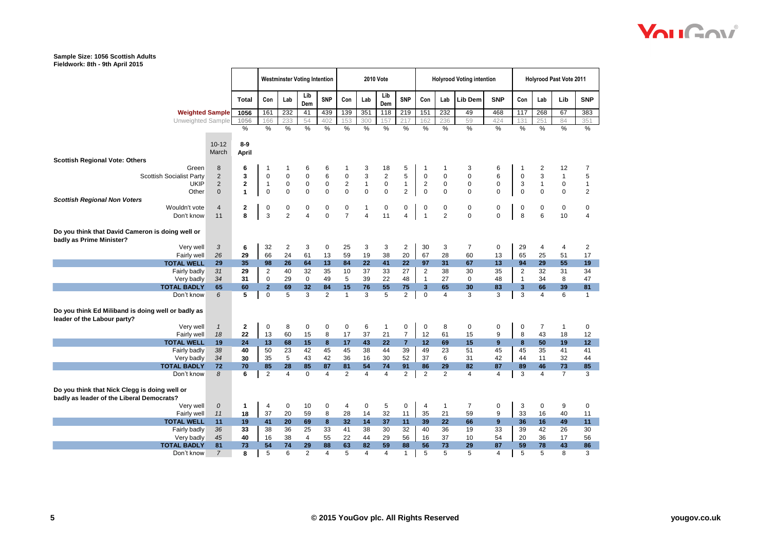|                                                                                   |                |              | <b>Westminster Voting Intention</b> |                |                | <b>2010 Vote</b> |                  |                |                |                |                         | <b>Holyrood Voting intention</b> |                | <b>Holyrood Past Vote 2011</b> |                |                         |                |                 |
|-----------------------------------------------------------------------------------|----------------|--------------|-------------------------------------|----------------|----------------|------------------|------------------|----------------|----------------|----------------|-------------------------|----------------------------------|----------------|--------------------------------|----------------|-------------------------|----------------|-----------------|
|                                                                                   |                | <b>Total</b> | Con                                 | Lab            | Lib<br>Dem     | <b>SNP</b>       | Con              | Lab            | Lib<br>Dem     | <b>SNP</b>     | Con                     | Lab                              | Lib Dem        | <b>SNP</b>                     | Con            | Lab                     | Lib            | <b>SNP</b>      |
| <b>Weighted Sample</b>                                                            |                | 1056         | 161                                 | 232            | 41             | 439              | 139              | 351            | 118            | 219            | 151                     | 232                              | 49             | 468                            | 117            | 268                     | 67             | 383             |
| Unweighted Sample                                                                 |                | 1056         | 166                                 | 233            | 54             | 402              | 153              | 300            | 157            | 217            | 162                     | 236                              | 59             | 424                            | 131            | 251                     | 84             | 351             |
|                                                                                   |                | %            | %                                   | %              | %              | $\frac{0}{6}$    | %                | %              | %              | $\frac{0}{6}$  | %                       | %                                | %              | %                              | $\%$           | %                       | %              | %               |
|                                                                                   |                |              |                                     |                |                |                  |                  |                |                |                |                         |                                  |                |                                |                |                         |                |                 |
|                                                                                   | $10 - 12$      | $8-9$        |                                     |                |                |                  |                  |                |                |                |                         |                                  |                |                                |                |                         |                |                 |
|                                                                                   | March          | <b>April</b> |                                     |                |                |                  |                  |                |                |                |                         |                                  |                |                                |                |                         |                |                 |
| <b>Scottish Regional Vote: Others</b>                                             |                |              |                                     |                |                |                  |                  |                |                |                |                         |                                  |                |                                |                |                         |                |                 |
| Green                                                                             | 8              | 6            | 1                                   | 1              | 6              | 6                |                  | 3              | 18             | 5              | $\mathbf 1$             | 1                                | 3              | 6                              |                | $\overline{\mathbf{c}}$ | 12             | $\overline{7}$  |
| <b>Scottish Socialist Party</b>                                                   | $\sqrt{2}$     | 3            | $\mathbf 0$                         | $\mathbf 0$    | $\pmb{0}$      | 6                | $\pmb{0}$        | 3              | $\mathbf 2$    | 5              | $\mathbf 0$             | $\mathbf 0$                      | $\mathbf 0$    | 6                              | $\mathbf 0$    | $\mathsf 3$             | $\mathbf{1}$   | 5               |
| <b>UKIP</b>                                                                       | $\sqrt{2}$     | $\mathbf 2$  | $\mathbf{1}$                        | $\pmb{0}$      | $\pmb{0}$      | $\pmb{0}$        | $\boldsymbol{2}$ | $\mathbf{1}$   | $\pmb{0}$      | $\mathbf{1}$   | $\overline{\mathbf{c}}$ | $\mathbf 0$                      | $\mathbf 0$    | $\pmb{0}$                      | 3              | $\mathbf{1}$            | 0              | $\mathbf{1}$    |
| Other                                                                             | $\mathbf 0$    | $\mathbf{1}$ | $\mathbf 0$                         | $\pmb{0}$      | $\mathbf 0$    | $\pmb{0}$        | $\mathbf 0$      | $\pmb{0}$      | $\mathsf 0$    | $\overline{2}$ | $\mathbf 0$             | $\mathbf 0$                      | $\mathbf 0$    | $\mathbf 0$                    | $\mathbf 0$    | $\mathbf 0$             | $\mathbf 0$    | $\overline{2}$  |
| <b>Scottish Regional Non Voters</b>                                               |                |              |                                     |                |                |                  |                  |                |                |                |                         |                                  |                |                                |                |                         |                |                 |
| Wouldn't vote                                                                     | $\overline{4}$ | 2            | 0                                   | 0              | 0              | $\pmb{0}$        | 0                | $\mathbf{1}$   | 0              | 0              | 0                       | 0                                | 0              | 0                              | 0              | 0                       | $\mathbf 0$    | $\pmb{0}$       |
| Don't know                                                                        | 11             | 8            | 3                                   | $\overline{2}$ | $\overline{4}$ | $\mathbf 0$      | $\overline{7}$   | $\overline{4}$ | 11             | $\overline{4}$ | $\mathbf{1}$            | $\overline{2}$                   | $\mathbf 0$    | $\pmb{0}$                      | 8              | 6                       | 10             | $\overline{4}$  |
| Do you think that David Cameron is doing well or<br>badly as Prime Minister?      |                |              |                                     |                |                |                  |                  |                |                |                |                         |                                  |                |                                |                |                         |                |                 |
| Very well                                                                         | 3              | 6            | 32                                  | $\overline{2}$ | 3              | 0                | 25               | 3              | 3              | $\overline{2}$ | 30                      | 3                                | $\overline{7}$ | 0                              | 29             | 4                       | 4              | $\overline{2}$  |
| Fairly well                                                                       | 26             | 29           | 66                                  | 24             | 61             | 13               | 59               | 19             | 38             | 20             | 67                      | 28                               | 60             | 13                             | 65             | 25                      | 51             | 17              |
| <b>TOTAL WELL</b>                                                                 | 29             | 35           | 98                                  | 26             | 64             | 13               | 84               | 22             | 41             | 22             | 97                      | 31                               | 67             | 13                             | 94             | 29                      | 55             | 19              |
| Fairly badly                                                                      | 31             | 29           | $\overline{c}$                      | 40             | 32             | 35               | 10               | 37             | 33             | 27             | $\overline{c}$          | 38                               | 30             | 35                             | $\overline{c}$ | 32                      | 31             | 34              |
| Very badly                                                                        | 34             | 31           | $\mathbf 0$                         | 29             | $\mathbf 0$    | 49               | 5                | 39             | 22             | 48             | $\mathbf{1}$            | 27                               | $\mathbf 0$    | 48                             | $\overline{1}$ | 34                      | 8              | 47              |
| <b>TOTAL BADLY</b>                                                                | 65             | 60           | $\overline{2}$                      | 69             | 32             | 84               | 15               | 76             | 55             | 75             | $\overline{\mathbf{3}}$ | 65                               | 30             | 83                             | 3              | 66                      | 39             | 81              |
| Don't know                                                                        | 6              | 5            | $\mathbf 0$                         | 5              | 3              | $\overline{2}$   | $\mathbf{1}$     | 3              | $\overline{5}$ | $\overline{2}$ | $\mathbf 0$             | $\overline{\mathbf{4}}$          | $\overline{3}$ | $\overline{3}$                 | 3              | $\overline{4}$          | 6              | $\mathbf{1}$    |
| Do you think Ed Miliband is doing well or badly as<br>leader of the Labour party? |                |              |                                     |                |                |                  |                  |                |                |                |                         |                                  |                |                                |                |                         |                |                 |
| Very well                                                                         | $\mathbf{1}$   | $\mathbf{2}$ | 0                                   | 8              | 0              | $\mathbf 0$      | $\mathbf 0$      | 6              | $\mathbf{1}$   | 0              | $\mathbf 0$             | 8                                | 0              | $\mathbf 0$                    | $\mathbf 0$    | $\overline{7}$          | $\mathbf{1}$   | $\mathbf 0$     |
| Fairly well                                                                       | 18             | 22           | 13                                  | 60             | 15             | 8                | 17               | 37             | 21             | $\overline{7}$ | 12                      | 61                               | 15             | 9                              | 8              | 43                      | 18             | 12              |
| <b>TOTAL WELL</b>                                                                 | 19             | 24           | 13                                  | 68             | 15             | 8                | 17               | 43             | 22             | 7              | 12                      | 69                               | 15             | 9                              | 8              | 50                      | 19             | 12              |
| Fairly badly                                                                      | 38             | 40           | 50                                  | 23             | 42             | 45               | 45               | 38             | 44             | 39             | 49                      | 23                               | 51             | 45                             | 45             | 35                      | 41             | 41              |
| Very badly                                                                        | 34             | 30           | 35                                  | 5              | 43             | 42               | 36               | 16             | 30             | 52             | 37                      | 6                                | 31             | 42                             | 44             | 11                      | 32             | 44              |
| <b>TOTAL BADLY</b>                                                                | 72             | 70           | 85                                  | 28             | 85             | 87               | 81               | 54             | 74             | 91             | 86                      | 29                               | 82             | 87                             | 89             | 46                      | 73             | 85              |
| Don't know                                                                        | 8              | 6            | $\overline{2}$                      | $\overline{4}$ | $\mathbf 0$    | $\overline{4}$   | 2                | 4              | $\overline{4}$ | $\overline{2}$ | $\overline{2}$          | 2                                | $\overline{4}$ | $\overline{4}$                 | 3              | $\overline{4}$          | $\overline{7}$ | 3               |
| Do you think that Nick Clegg is doing well or                                     |                |              |                                     |                |                |                  |                  |                |                |                |                         |                                  |                |                                |                |                         |                |                 |
| badly as leader of the Liberal Democrats?                                         |                |              |                                     | $\mathbf 0$    | 10             |                  |                  |                |                | $\mathbf 0$    | $\overline{4}$          |                                  | $\overline{7}$ | $\mathbf 0$                    |                |                         | 9              |                 |
| Very well<br>Fairly well                                                          | $\cal O$<br>11 | 1<br>18      | 4<br>37                             | 20             | 59             | $\pmb{0}$<br>8   | 4<br>28          | 0<br>14        | 5<br>32        | 11             | 35                      | $\mathbf{1}$<br>21               | 59             | 9                              | 3<br>33        | $\mathbf 0$<br>16       | 40             | $\pmb{0}$<br>11 |
|                                                                                   |                |              |                                     |                |                |                  |                  |                |                |                |                         |                                  |                |                                |                |                         |                |                 |
| <b>TOTAL WELL</b>                                                                 | 11             | 19           | 41                                  | 20             | 69             | 8                | 32               | 14             | 37             | 11             | 39                      | 22                               | 66             | 9                              | 36             | 16                      | 49             | 11              |
| Fairly badly                                                                      | 36             | 33           | 38                                  | 36             | 25             | 33               | 41               | 38             | 30             | 32             | 40                      | 36                               | 19             | 33                             | 39             | 42                      | 26             | 30              |
| Very badly                                                                        | 45             | 40           | 16                                  | 38             | $\overline{4}$ | 55               | 22               | 44             | 29             | 56             | 16                      | 37                               | 10             | 54                             | 20             | 36                      | 17             | 56              |
| <b>TOTAL BADLY</b>                                                                | 81             | 73           | 54                                  | 74             | 29             | 88               | 63               | 82             | 59             | 88             | 56                      | 73                               | 29             | 87                             | 59             | 78                      | 43             | 86              |
| Don't know                                                                        | $\overline{7}$ | 8            | 5                                   | 6              | $\overline{2}$ | $\overline{4}$   | 5                | 4              | $\overline{4}$ | $\mathbf{1}$   | 5                       | 5                                | 5              | $\overline{4}$                 | 5              | 5                       | 8              | 3               |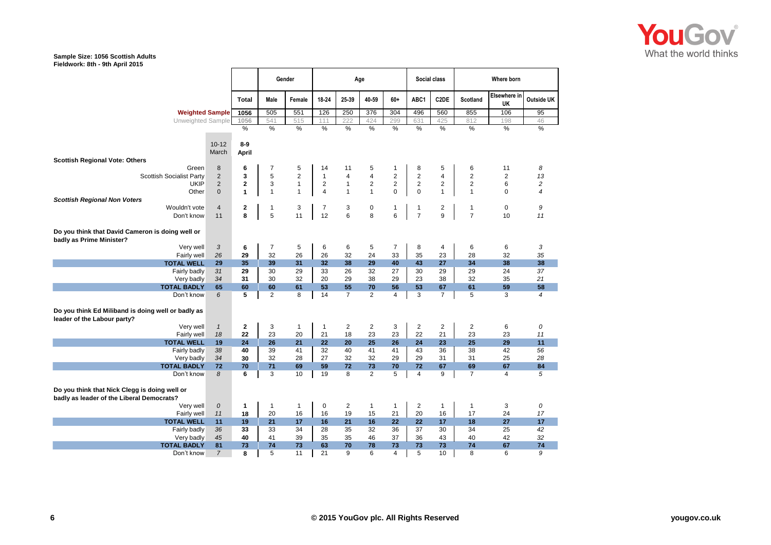

|                                                                                            |                    |                         | Gender<br>Age  |                |                | Social class   |                         | Where born     |                |                         |                 |                    |                |
|--------------------------------------------------------------------------------------------|--------------------|-------------------------|----------------|----------------|----------------|----------------|-------------------------|----------------|----------------|-------------------------|-----------------|--------------------|----------------|
|                                                                                            |                    | <b>Total</b>            | Male           | Female         | 18-24          | 25-39          | 40-59                   | 60+            | ABC1           | C <sub>2</sub> DE       | <b>Scotland</b> | Elsewhere in<br>UK | Outside UK     |
| <b>Weighted Sample</b>                                                                     |                    | 1056                    | 505            | 551            | 126            | 250            | 376                     | 304            | 496            | 560                     | 855             | 106                | 95             |
| Unweighted Sample                                                                          |                    | 1056                    | 541            | 515            | 111            | 222            | 424                     | 299            | 631            | 425                     | 812             | 198                | 46             |
|                                                                                            |                    | $\frac{9}{6}$           | $\frac{0}{2}$  | $\frac{0}{6}$  | $\frac{0}{2}$  | %              | %                       | %              | %              | %                       | %               | %                  | %              |
|                                                                                            |                    | $8-9$                   |                |                |                |                |                         |                |                |                         |                 |                    |                |
|                                                                                            | $10 - 12$<br>March |                         |                |                |                |                |                         |                |                |                         |                 |                    |                |
| <b>Scottish Regional Vote: Others</b>                                                      |                    | April                   |                |                |                |                |                         |                |                |                         |                 |                    |                |
| Green                                                                                      | 8                  | 6                       | $\overline{7}$ | 5              | 14             | 11             | 5                       | $\mathbf{1}$   | 8              | 5                       | 6               | 11                 | 8              |
| <b>Scottish Socialist Party</b>                                                            | $\overline{2}$     | 3                       | 5              | $\overline{2}$ | $\mathbf{1}$   | $\overline{4}$ | $\overline{\mathbf{4}}$ | $\sqrt{2}$     | $\sqrt{2}$     | $\overline{\mathbf{4}}$ | $\overline{2}$  | 2                  | 13             |
| <b>UKIP</b>                                                                                | $\overline{2}$     | $\overline{2}$          | 3              | $\mathbf{1}$   | $\overline{c}$ | $\mathbf{1}$   | $\overline{2}$          | $\overline{2}$ | $\mathbf 2$    | $\overline{c}$          | $\overline{2}$  | 6                  | $\overline{c}$ |
| Other                                                                                      | $\mathbf{0}$       | 1                       | $\mathbf{1}$   | $\mathbf{1}$   | $\overline{4}$ | $\mathbf{1}$   | $\mathbf{1}$            | $\Omega$       | $\mathbf 0$    | $\mathbf{1}$            | $\mathbf{1}$    | $\Omega$           | $\overline{4}$ |
| <b>Scottish Regional Non Voters</b>                                                        |                    |                         |                |                |                |                |                         |                |                |                         |                 |                    |                |
| Wouldn't vote                                                                              | $\overline{4}$     | $\overline{\mathbf{2}}$ | 1              | 3              | $\overline{7}$ | 3              | 0                       | -1             | $\mathbf{1}$   | $\overline{2}$          | $\mathbf{1}$    | $\mathbf 0$        | 9              |
| Don't know                                                                                 | 11                 | 8                       | 5              | 11             | 12             | 6              | 8                       | 6              | $\overline{7}$ | 9                       | $\overline{7}$  | 10                 | 11             |
|                                                                                            |                    |                         |                |                |                |                |                         |                |                |                         |                 |                    |                |
| Do you think that David Cameron is doing well or<br>badly as Prime Minister?               |                    |                         |                |                |                |                |                         |                |                |                         |                 |                    |                |
| Very well                                                                                  | 3                  | 6                       | $\overline{7}$ | 5              | 6              | 6              | 5                       | $\overline{7}$ | 8              | 4                       | 6               | 6                  | 3              |
| Fairly well                                                                                | 26                 | 29                      | 32             | 26             | 26             | 32             | 24                      | 33             | 35             | 23                      | 28              | 32                 | 35             |
| <b>TOTAL WELL</b>                                                                          | 29                 | 35                      | 39             | 31             | 32             | 38             | 29                      | 40             | 43             | 27                      | 34              | 38                 | 38             |
| Fairly badly                                                                               | 31                 | 29                      | 30             | 29             | 33             | 26             | 32                      | 27             | 30             | 29                      | 29              | 24                 | 37             |
| Very badly                                                                                 | 34                 | 31                      | 30             | 32             | 20             | 29             | 38                      | 29             | 23             | 38                      | 32              | 35                 | 21             |
| <b>TOTAL BADLY</b>                                                                         | 65                 | 60                      | 60             | 61             | 53             | 55             | 70                      | 56             | 53             | 67                      | 61              | 59                 | 58             |
| Don't know                                                                                 | 6                  | $\overline{5}$          | $\overline{2}$ | 8              | 14             | $\overline{7}$ | 2                       | $\overline{4}$ | 3              | $\overline{7}$          | 5               | 3                  | $\overline{4}$ |
| Do you think Ed Miliband is doing well or badly as<br>leader of the Labour party?          |                    |                         |                |                |                |                |                         |                |                |                         |                 |                    |                |
| Very well                                                                                  | $\mathbf{1}$       | $\mathbf{2}$            | 3              | $\mathbf{1}$   | $\mathbf{1}$   | $\overline{c}$ | $\overline{2}$          | 3              | 2              | 2                       | $\overline{c}$  | 6                  | 0              |
| Fairly well                                                                                | 18                 | 22                      | 23             | 20             | 21             | 18             | 23                      | 23             | 22             | 21                      | 23              | 23                 | 11             |
| <b>TOTAL WELL</b>                                                                          | 19                 | 24                      | 26             | 21             | 22             | 20             | 25                      | 26             | 24             | 23                      | 25              | 29                 | 11             |
| Fairly badly                                                                               | 38                 | 40                      | 39             | 41             | 32             | 40             | 41                      | 41             | 43             | 36                      | 38              | 42                 | 56             |
| Very badly                                                                                 | 34                 | 30                      | 32             | 28             | 27             | 32             | 32                      | 29             | 29             | 31                      | 31              | 25                 | 28             |
| <b>TOTAL BADLY</b>                                                                         | 72                 | 70                      | 71             | 69             | 59             | 72             | 73                      | 70             | 72             | 67                      | 69              | 67                 | 84             |
| Don't know                                                                                 | 8                  | 6                       | 3              | 10             | 19             | 8              | 2                       | 5              | 4              | 9                       | $\overline{7}$  | 4                  | 5              |
| Do you think that Nick Clegg is doing well or<br>badly as leader of the Liberal Democrats? |                    |                         |                |                |                |                |                         |                |                |                         |                 |                    |                |
| Very well                                                                                  | $\cal O$           | 1                       | $\mathbf{1}$   | $\mathbf{1}$   | $\mathbf 0$    | $\overline{c}$ | $\mathbf{1}$            | $\mathbf{1}$   | $\overline{c}$ | 1                       | 1               | 3                  | 0              |
| Fairly well                                                                                | 11                 | 18                      | 20             | 16             | 16             | 19             | 15                      | 21             | 20             | 16                      | 17              | 24                 | 17             |
| <b>TOTAL WELL</b>                                                                          | 11                 | 19                      | 21             | 17             | 16             | 21             | 16                      | 22             | 22             | 17                      | 18              | 27                 | 17             |
| Fairly badly                                                                               | 36                 | 33                      | 33             | 34             | 28             | 35             | 32                      | 36             | 37             | 30                      | 34              | 25                 | 42             |
| Very badly                                                                                 | 45                 | 40                      | 41             | 39             | 35             | 35             | 46                      | 37             | 36             | 43                      | 40              | 42                 | 32             |
| <b>TOTAL BADLY</b>                                                                         | 81                 | 73                      | 74             | 73             | 63             | 70             | 78                      | 73             | 73             | 73                      | 74              | 67                 | 74             |
| Don't know                                                                                 | $\overline{7}$     | 8                       | 5              | 11             | 21             | 9              | 6                       | $\overline{4}$ | 5              | 10                      | 8               | 6                  | 9              |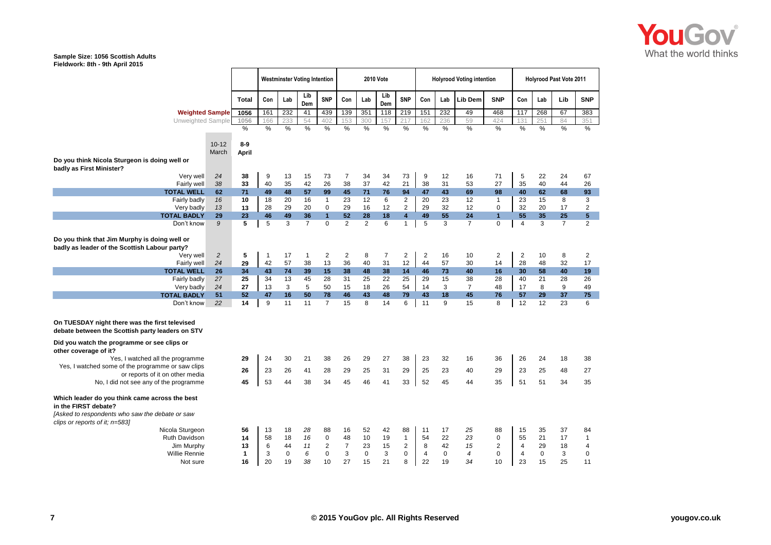

|                                                                                                    |                |              | <b>Westminster Voting Intention</b> |                |                |                         | <b>2010 Vote</b> |             |                |                         |                | <b>Holyrood Voting intention</b> |                          | <b>Holyrood Past Vote 2011</b> |                |             |                |                |
|----------------------------------------------------------------------------------------------------|----------------|--------------|-------------------------------------|----------------|----------------|-------------------------|------------------|-------------|----------------|-------------------------|----------------|----------------------------------|--------------------------|--------------------------------|----------------|-------------|----------------|----------------|
|                                                                                                    |                | <b>Total</b> | Con                                 | Lab            | Lib<br>Dem     | <b>SNP</b>              | Con              | Lab         | Lib<br>Dem     | <b>SNP</b>              | Con            | Lab                              | Lib Dem                  | <b>SNP</b>                     | Con            | Lab         | Lib            | <b>SNP</b>     |
| <b>Weighted Sample</b>                                                                             |                | 1056         | 161                                 | 232            | 41             | 439                     | 139              | 351         | 118            | 219                     | 151            | 232                              | 49                       | 468                            | 117            | 268         | 67             | 383            |
| Unweighted Sample                                                                                  |                | 1056         | 166                                 | 233            | 54             | 402                     | 153              | 300         | 157            | 217                     | 162            | 236                              | 59                       | 424                            | 131            | 251         | 84             | 351            |
|                                                                                                    |                | %            | %                                   | %              | %              | %                       | %                | %           | %              | %                       | %              | %                                | $\frac{9}{6}$            | %                              | %              | %           | %              | %              |
|                                                                                                    |                |              |                                     |                |                |                         |                  |             |                |                         |                |                                  |                          |                                |                |             |                |                |
|                                                                                                    | $10 - 12$      | $8-9$        |                                     |                |                |                         |                  |             |                |                         |                |                                  |                          |                                |                |             |                |                |
|                                                                                                    | March          | <b>April</b> |                                     |                |                |                         |                  |             |                |                         |                |                                  |                          |                                |                |             |                |                |
| Do you think Nicola Sturgeon is doing well or                                                      |                |              |                                     |                |                |                         |                  |             |                |                         |                |                                  |                          |                                |                |             |                |                |
| badly as First Minister?<br>Very well                                                              | 24             | 38           | 9                                   | 13             | 15             | 73                      | $\overline{7}$   | 34          | 34             | 73                      | 9              | 12                               | 16                       | 71                             | 5              | 22          | 24             | 67             |
| Fairly well                                                                                        | 38             | 33           | 40                                  | 35             | 42             | 26                      | 38               | 37          | 42             | 21                      | 38             | 31                               | 53                       | 27                             | 35             | 40          | 44             | 26             |
| <b>TOTAL WELL</b>                                                                                  | 62             | 71           | 49                                  | 48             | 57             | 99                      | 45               | 71          | 76             | 94                      | 47             | 43                               | 69                       | 98                             | 40             | 62          | 68             | 93             |
| Fairly badly                                                                                       | 16             | 10           | 18                                  | 20             | 16             | $\mathbf{1}$            | 23               | 12          | 6              | $\mathbf 2$             | 20             | 23                               | 12                       | $\mathbf{1}$                   | 23             | 15          | 8              | 3              |
| Very badly                                                                                         | 13             | 13           | 28                                  | 29             | 20             | 0                       | 29               | 16          | 12             | $\overline{2}$          | 29             | 32                               | 12                       | 0                              | 32             | 20          | 17             | $\overline{2}$ |
| <b>TOTAL BADLY</b>                                                                                 | 29             | 23           | 46                                  | 49             | 36             | $\mathbf{1}$            | 52               | 28          | 18             | $\overline{\mathbf{4}}$ | 49             | 55                               | 24                       | $\overline{1}$                 | 55             | 35          | 25             | 5 <sup>5</sup> |
| Don't know                                                                                         | 9              | 5            | $\overline{5}$                      | $\overline{3}$ | $\overline{7}$ | $\overline{0}$          | $\overline{2}$   | 2           | 6              | $\mathbf{1}$            | $\overline{5}$ | 3                                | $\overline{7}$           | 0                              | $\overline{4}$ | 3           | $\overline{7}$ | $\overline{2}$ |
|                                                                                                    |                |              |                                     |                |                |                         |                  |             |                |                         |                |                                  |                          |                                |                |             |                |                |
| Do you think that Jim Murphy is doing well or                                                      |                |              |                                     |                |                |                         |                  |             |                |                         |                |                                  |                          |                                |                |             |                |                |
| badly as leader of the Scottish Labour party?                                                      |                |              |                                     |                |                |                         |                  |             |                |                         |                |                                  |                          |                                |                |             |                |                |
| Very well                                                                                          | $\overline{c}$ | 5            | 1                                   | 17             | $\overline{1}$ | 2                       | $\overline{2}$   | 8           | $\overline{7}$ | $\overline{2}$          | $\overline{2}$ | 16                               | 10                       | 2                              | $\overline{2}$ | 10          | 8              | $\overline{2}$ |
| Fairly well                                                                                        | 24             | 29           | 42                                  | 57             | 38             | 13                      | 36               | 40          | 31             | 12                      | 44             | 57                               | 30                       | 14                             | 28             | 48          | 32             | 17             |
| <b>TOTAL WELL</b>                                                                                  | 26             | 34           | 43                                  | 74             | 39             | 15                      | 38               | 48          | 38             | 14                      | 46             | 73                               | 40                       | 16                             | 30             | 58          | 40             | 19             |
| Fairly badly                                                                                       | 27             | 25           | 34                                  | 13             | 45             | 28                      | 31               | 25          | 22             | 25                      | 29             | 15                               | 38                       | 28                             | 40             | 21          | 28             | 26             |
| Very badly                                                                                         | 24             | 27           | 13                                  | 3              | 5              | 50                      | 15               | 18          | 26             | 54                      | 14             | 3                                | $\overline{7}$           | 48                             | 17             | 8           | 9              | 49             |
| <b>TOTAL BADLY</b>                                                                                 | 51             | 52           | 47                                  | 16             | 50             | 78                      | 46               | 43          | 48             | 79                      | 43             | 18                               | 45                       | 76                             | 57             | 29          | 37             | 75             |
| Don't know                                                                                         | 22             | 14           | 9                                   | 11             | 11             | $\overline{7}$          | 15               | 8           | 14             | 6                       | 11             | 9                                | 15                       | 8                              | 12             | 12          | 23             | 6              |
| On TUESDAY night there was the first televised<br>debate between the Scottish party leaders on STV |                |              |                                     |                |                |                         |                  |             |                |                         |                |                                  |                          |                                |                |             |                |                |
| Did you watch the programme or see clips or<br>other coverage of it?                               |                |              |                                     |                |                |                         |                  |             |                |                         |                |                                  |                          |                                |                |             |                |                |
| Yes, I watched all the programme                                                                   |                | 29           | 24                                  | 30             | 21             | 38                      | 26               | 29          | 27             | 38                      | 23             | 32                               | 16                       | 36                             | 26             | 24          | 18             | 38             |
| Yes, I watched some of the programme or saw clips                                                  |                | 26           | 23                                  | 26             | 41             | 28                      | 29               | 25          | 31             | 29                      | 25             | 23                               | 40                       | 29                             | 23             | 25          | 48             | 27             |
| or reports of it on other media                                                                    |                |              |                                     |                |                |                         |                  |             |                |                         |                |                                  |                          |                                |                |             |                |                |
| No, I did not see any of the programme                                                             |                | 45           | 53                                  | 44             | 38             | 34                      | 45               | 46          | 41             | 33                      | 52             | 45                               | 44                       | 35                             | 51             | 51          | 34             | 35             |
| Which leader do you think came across the best<br>in the FIRST debate?                             |                |              |                                     |                |                |                         |                  |             |                |                         |                |                                  |                          |                                |                |             |                |                |
| [Asked to respondents who saw the debate or saw<br>clips or reports of it; n=583]                  |                |              |                                     |                |                |                         |                  |             |                |                         |                |                                  |                          |                                |                |             |                |                |
| Nicola Sturgeon                                                                                    |                | 56           | 13                                  | 18             | 28             | 88                      | 16               | 52          | 42             | 88                      | 11             | 17                               | 25                       | 88                             | 15             | 35          | 37             | 84             |
| <b>Ruth Davidson</b>                                                                               |                | 14           | 58                                  | 18             | 16             | $\mathbf 0$             | 48               | 10          | 19             | $\mathbf{1}$            | 54             | 22                               | 23                       | 0                              | 55             | 21          | 17             | $\mathbf{1}$   |
| Jim Murphy                                                                                         |                | 13           | 6                                   | 44             | 11             | $\overline{\mathbf{c}}$ | $\overline{7}$   | 23          | 15             | $\overline{\mathbf{c}}$ | 8              | 42                               | 15                       | 2                              | $\overline{4}$ | 29          | 18             | $\overline{4}$ |
| <b>Willie Rennie</b>                                                                               |                | 1            | 3                                   | $\mathbf 0$    | 6              | $\mathbf 0$             | 3                | $\mathbf 0$ | 3              | $\pmb{0}$               | $\overline{4}$ | $\mathbf 0$                      | $\overline{\mathcal{A}}$ | 0                              | $\overline{4}$ | $\mathbf 0$ | 3              | $\mathbf 0$    |
| Not sure                                                                                           |                | 16           | 20                                  | 19             | 38             | 10                      | 27               | 15          | 21             | 8                       | 22             | 19                               | 34                       | 10                             | 23             | 15          | 25             | 11             |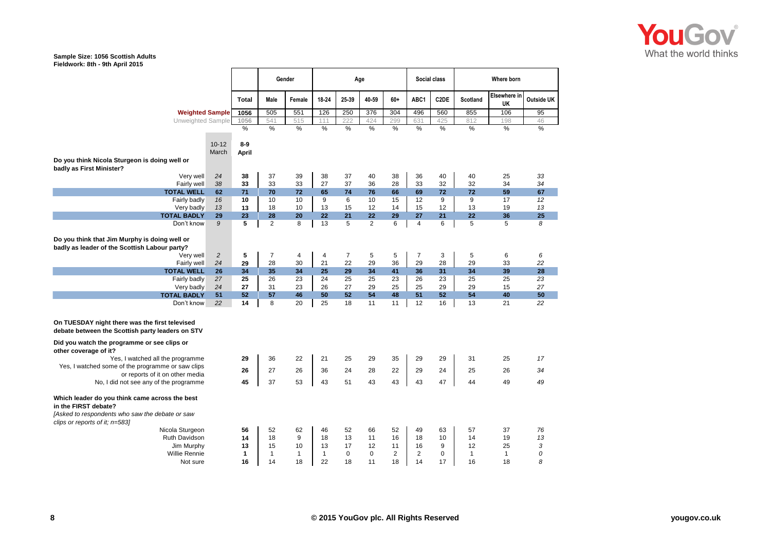

|                                                                                                    |                |              | Gender         |              |              |                | Age            |                |                | <b>Social class</b> | Where born   |                    |                   |  |
|----------------------------------------------------------------------------------------------------|----------------|--------------|----------------|--------------|--------------|----------------|----------------|----------------|----------------|---------------------|--------------|--------------------|-------------------|--|
|                                                                                                    |                | <b>Total</b> | Male           | Female       | 18-24        | 25-39          | 40-59          | 60+            | ABC1           | C <sub>2</sub> DE   | Scotland     | Elsewhere in<br>UK | <b>Outside UK</b> |  |
| <b>Weighted Sample</b>                                                                             |                | 1056         | 505            | 551          | 126          | 250            | 376            | 304            | 496            | 560                 | 855          | 106                | 95                |  |
| Unweighted Sample                                                                                  |                | 1056         | 541            | 515          | 111          | 222            | 424            | 299            | 631            | 425                 | 812          | 198                | 46                |  |
|                                                                                                    |                | %            | %              | %            | %            | %              | %              | %              | %              | %                   | %            | %                  | %                 |  |
|                                                                                                    |                |              |                |              |              |                |                |                |                |                     |              |                    |                   |  |
|                                                                                                    | $10 - 12$      | $8-9$        |                |              |              |                |                |                |                |                     |              |                    |                   |  |
|                                                                                                    | March          | <b>April</b> |                |              |              |                |                |                |                |                     |              |                    |                   |  |
| Do you think Nicola Sturgeon is doing well or                                                      |                |              |                |              |              |                |                |                |                |                     |              |                    |                   |  |
| badly as First Minister?                                                                           | 24             | 38           | 37             | 39           |              | 37             |                | 38             | 36             | 40                  | 40           | 25                 |                   |  |
| Very well<br>Fairly well                                                                           | 38             | 33           | 33             | 33           | 38<br>27     | 37             | 40<br>36       | 28             | 33             | 32                  | 32           | 34                 | 33<br>34          |  |
| <b>TOTAL WELL</b>                                                                                  | 62             | 71           | 70             | 72           | 65           | 74             | 76             | 66             | 69             | 72                  | 72           | 59                 | 67                |  |
| Fairly badly                                                                                       | 16             | 10           | 10             | 10           | 9            | 6              | 10             | 15             | 12             | $\boldsymbol{9}$    | 9            | 17                 | 12                |  |
| Very badly                                                                                         | 13             | 13           | 18             | 10           | 13           | 15             | 12             | 14             | 15             | 12                  | 13           | 19                 | 13                |  |
| <b>TOTAL BADLY</b>                                                                                 | 29             | 23           | 28             | 20           | 22           | 21             | 22             | 29             | 27             | 21                  | 22           | 36                 | 25                |  |
| Don't know                                                                                         | 9              | 5            | $\overline{2}$ | 8            | 13           | 5              | $\overline{2}$ | 6              | 4              | 6                   | 5            | 5                  | 8                 |  |
|                                                                                                    |                |              |                |              |              |                |                |                |                |                     |              |                    |                   |  |
| Do you think that Jim Murphy is doing well or                                                      |                |              |                |              |              |                |                |                |                |                     |              |                    |                   |  |
| badly as leader of the Scottish Labour party?                                                      |                |              |                |              |              |                |                |                |                |                     |              |                    |                   |  |
| Very well                                                                                          | $\overline{c}$ | 5            | $\overline{7}$ | 4            | 4            | $\overline{7}$ | 5              | 5              | $\overline{7}$ | 3                   | 5            | 6                  | 6                 |  |
| Fairly well                                                                                        | 24             | 29           | 28             | 30           | 21           | 22             | 29             | 36             | 29             | 28                  | 29           | 33                 | 22                |  |
| <b>TOTAL WELL</b>                                                                                  | 26             | 34           | 35             | 34           | 25           | 29             | 34             | 41             | 36             | 31                  | 34           | 39                 | 28                |  |
| Fairly badly                                                                                       | 27<br>24       | 25<br>27     | 26<br>31       | 23<br>23     | 24<br>26     | 25<br>27       | 25<br>29       | 23<br>25       | 26<br>25       | 23<br>29            | 25<br>29     | 25<br>15           | 23<br>27          |  |
| Very badly<br><b>TOTAL BADLY</b>                                                                   | 51             | 52           | 57             | 46           | 50           | 52             | 54             | 48             | 51             | 52                  | 54           | 40                 | 50                |  |
| Don't know                                                                                         | 22             | 14           | 8              | 20           | 25           | 18             | 11             | 11             | 12             | 16                  | 13           | 21                 | 22                |  |
|                                                                                                    |                |              |                |              |              |                |                |                |                |                     |              |                    |                   |  |
| On TUESDAY night there was the first televised<br>debate between the Scottish party leaders on STV |                |              |                |              |              |                |                |                |                |                     |              |                    |                   |  |
| Did you watch the programme or see clips or<br>other coverage of it?                               |                |              |                |              |              |                |                |                |                |                     |              |                    |                   |  |
| Yes, I watched all the programme                                                                   |                | 29           | 36             | 22           | 21           | 25             | 29             | 35             | 29             | 29                  | 31           | 25                 | 17                |  |
| Yes, I watched some of the programme or saw clips                                                  |                | 26           | 27             | 26           | 36           | 24             | 28             | 22             | 29             | 24                  | 25           | 26                 | 34                |  |
| or reports of it on other media                                                                    |                |              |                |              |              |                |                |                |                |                     |              |                    |                   |  |
| No, I did not see any of the programme                                                             |                | 45           | 37             | 53           | 43           | 51             | 43             | 43             | 43             | 47                  | 44           | 49                 | 49                |  |
| Which leader do you think came across the best<br>in the FIRST debate?                             |                |              |                |              |              |                |                |                |                |                     |              |                    |                   |  |
| [Asked to respondents who saw the debate or saw<br>clips or reports of it; n=583]                  |                |              |                |              |              |                |                |                |                |                     |              |                    |                   |  |
| Nicola Sturgeon                                                                                    |                | 56           | 52             | 62           | 46           | 52             | 66             | 52             | 49             | 63                  | 57           | 37                 | 76                |  |
| Ruth Davidson                                                                                      |                | 14           | 18             | 9            | 18           | 13             | 11             | 16             | 18             | 10                  | 14           | 19                 | 13                |  |
| Jim Murphy                                                                                         |                | 13           | 15             | 10           | 13           | 17             | 12             | 11             | 16             | 9                   | 12           | 25                 | 3                 |  |
| <b>Willie Rennie</b>                                                                               |                | 1            | $\mathbf{1}$   | $\mathbf{1}$ | $\mathbf{1}$ | $\mathbf 0$    | 0              | $\overline{c}$ | 2              | $\pmb{0}$           | $\mathbf{1}$ | $\mathbf{1}$       | 0                 |  |
| Not sure                                                                                           |                | 16           | 14             | 18           | 22           | 18             | 11             | 18             | 14             | 17                  | 16           | 18                 | 8                 |  |

 $\blacksquare$ 

┱

T